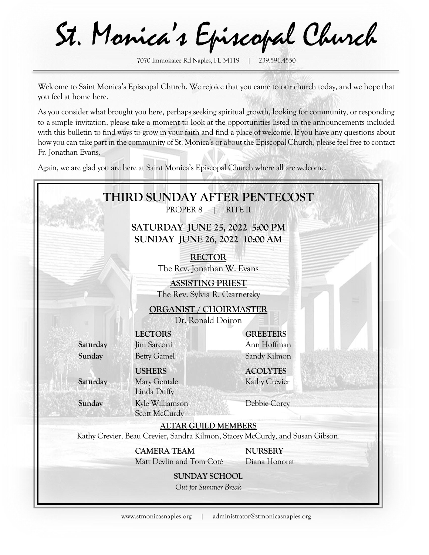St. Monica's Episcopal Church

7070 Immokalee Rd Naples, FL 34119 | 239.591.4550

Welcome to Saint Monica's Episcopal Church. We rejoice that you came to our church today, and we hope that you feel at home here.

As you consider what brought you here, perhaps seeking spiritual growth, looking for community, or responding to a simple invitation, please take a moment to look at the opportunities listed in the announcements included with this bulletin to find ways to grow in your faith and find a place of welcome. If you have any questions about how you can take part in the community of St. Monica's or about the Episcopal Church, please feel free to contact Fr. Jonathan Evans.

Again, we are glad you are here at Saint Monica's Episcopal Church where all are welcome.

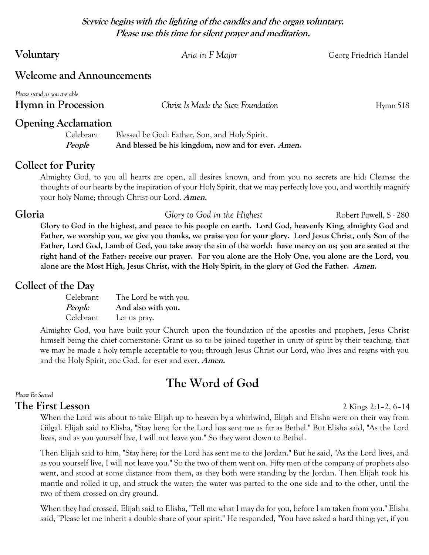**Service begins with the lighting of the candles and the organ voluntary. Please use this time for silent prayer and meditation.**

|  | Voluntary |
|--|-----------|
|--|-----------|

Aria in F Major *Aria in F Major Georg Friedrich Handel* 

# **Welcome and Announcements**

| Please stand as you are able |                                               |          |
|------------------------------|-----------------------------------------------|----------|
| Hymn in Procession           | Christ Is Made the Sure Foundation            | Hymn 518 |
| <b>Opening Acclamation</b>   |                                               |          |
| Celebrant.                   | Blessed be God: Father, Son, and Holy Spirit. |          |

**People And blessed be his kingdom, now and for ever. Amen.**

# **Collect for Purity**

Almighty God, to you all hearts are open, all desires known, and from you no secrets are hid: Cleanse the thoughts of our hearts by the inspiration of your Holy Spirit, that we may perfectly love you, and worthily magnify your holy Name; through Christ our Lord. **Amen.**

## **Gloria Glory to God in the Highest** Robert Powell, S - 280

**Glory to God in the highest, and peace to his people on earth. Lord God, heavenly King, almighty God and Father, we worship you, we give you thanks, we praise you for your glory. Lord Jesus Christ, only Son of the Father, Lord God, Lamb of God, you take away the sin of the world: have mercy on us; you are seated at the right hand of the Father: receive our prayer. For you alone are the Holy One, you alone are the Lord, you alone are the Most High, Jesus Christ, with the Holy Spirit, in the glory of God the Father. Amen.**

# **Collect of the Day**

| Celebrant     | The Lord be with you. |
|---------------|-----------------------|
| <i>People</i> | And also with you.    |
| Celebrant     | Let us pray.          |

Almighty God, you have built your Church upon the foundation of the apostles and prophets, Jesus Christ himself being the chief cornerstone: Grant us so to be joined together in unity of spirit by their teaching, that we may be made a holy temple acceptable to you; through Jesus Christ our Lord, who lives and reigns with you and the Holy Spirit, one God, for ever and ever. **Amen.**

# **The Word of God**

#### *Please Be Seated*

# **The First Lesson** 2 Kings 2:1–2, 6–14

When the Lord was about to take Elijah up to heaven by a whirlwind, Elijah and Elisha were on their way from Gilgal. Elijah said to Elisha, "Stay here; for the Lord has sent me as far as Bethel." But Elisha said, "As the Lord lives, and as you yourself live, I will not leave you." So they went down to Bethel.

Then Elijah said to him, "Stay here; for the Lord has sent me to the Jordan." But he said, "As the Lord lives, and as you yourself live, I will not leave you." So the two of them went on. Fifty men of the company of prophets also went, and stood at some distance from them, as they both were standing by the Jordan. Then Elijah took his mantle and rolled it up, and struck the water; the water was parted to the one side and to the other, until the two of them crossed on dry ground.

When they had crossed, Elijah said to Elisha, "Tell me what I may do for you, before I am taken from you." Elisha said, "Please let me inherit a double share of your spirit." He responded, "You have asked a hard thing; yet, if you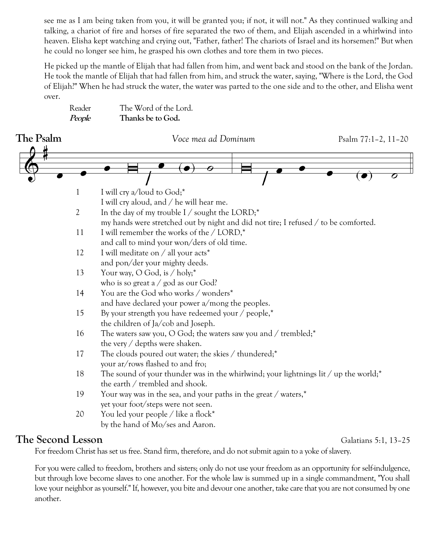see me as I am being taken from you, it will be granted you; if not, it will not." As they continued walking and talking, a chariot of fire and horses of fire separated the two of them, and Elijah ascended in a whirlwind into heaven. Elisha kept watching and crying out, "Father, father! The chariots of Israel and its horsemen!" But when he could no longer see him, he grasped his own clothes and tore them in two pieces.

He picked up the mantle of Elijah that had fallen from him, and went back and stood on the bank of the Jordan. He took the mantle of Elijah that had fallen from him, and struck the water, saying, "Where is the Lord, the God of Elijah?" When he had struck the water, the water was parted to the one side and to the other, and Elisha went over.

| Reader | The Word of the Lord. |
|--------|-----------------------|
| People | Thanks be to God.     |



# **The Second Lesson** Galatians 5:1, 13–25

For freedom Christ has set us free. Stand firm, therefore, and do not submit again to a yoke of slavery.

For you were called to freedom, brothers and sisters; only do not use your freedom as an opportunity for self-indulgence, but through love become slaves to one another. For the whole law is summed up in a single commandment, "You shall love your neighbor as yourself." If, however, you bite and devour one another, take care that you are not consumed by one another.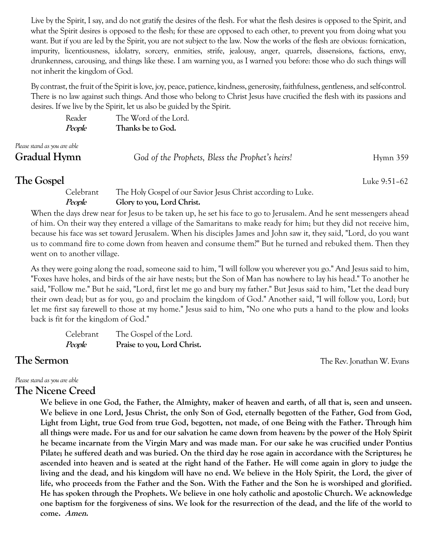Live by the Spirit, I say, and do not gratify the desires of the flesh. For what the flesh desires is opposed to the Spirit, and what the Spirit desires is opposed to the flesh; for these are opposed to each other, to prevent you from doing what you want. But if you are led by the Spirit, you are not subject to the law. Now the works of the flesh are obvious: fornication, impurity, licentiousness, idolatry, sorcery, enmities, strife, jealousy, anger, quarrels, dissensions, factions, envy, drunkenness, carousing, and things like these. I am warning you, as I warned you before: those who do such things will not inherit the kingdom of God.

By contrast, the fruit of the Spirit is love, joy, peace, patience, kindness, generosity, faithfulness, gentleness, and self-control. There is no law against such things. And those who belong to Christ Jesus have crucified the flesh with its passions and desires. If we live by the Spirit, let us also be guided by the Spirit.

| Reader<br>People                             | The Word of the Lord.<br>Thanks be to God.      |            |
|----------------------------------------------|-------------------------------------------------|------------|
| Please stand as you are able<br>Gradual Hymn | God of the Prophets, Bless the Prophet's heirs! | $Hymn$ 359 |

**The Gospel** Luke 9:51–62 Celebrant The Holy Gospel of our Savior Jesus Christ according to Luke.

### **People Glory to you, Lord Christ.**

When the days drew near for Jesus to be taken up, he set his face to go to Jerusalem. And he sent messengers ahead of him. On their way they entered a village of the Samaritans to make ready for him; but they did not receive him, because his face was set toward Jerusalem. When his disciples James and John saw it, they said, "Lord, do you want us to command fire to come down from heaven and consume them?" But he turned and rebuked them. Then they went on to another village.

As they were going along the road, someone said to him, "I will follow you wherever you go." And Jesus said to him, "Foxes have holes, and birds of the air have nests; but the Son of Man has nowhere to lay his head." To another he said, "Follow me." But he said, "Lord, first let me go and bury my father." But Jesus said to him, "Let the dead bury their own dead; but as for you, go and proclaim the kingdom of God." Another said, "I will follow you, Lord; but let me first say farewell to those at my home." Jesus said to him, "No one who puts a hand to the plow and looks back is fit for the kingdom of God."

| Celebrant | The Gospel of the Lord.     |
|-----------|-----------------------------|
| People    | Praise to you, Lord Christ. |

**The Sermon CONSERVERGE THE REV. JONATHAN W. Evans** 

*Please stand as you are able*

# **The Nicene Creed**

**We believe in one God, the Father, the Almighty, maker of heaven and earth, of all that is, seen and unseen. We believe in one Lord, Jesus Christ, the only Son of God, eternally begotten of the Father, God from God, Light from Light, true God from true God, begotten, not made, of one Being with the Father. Through him all things were made. For us and for our salvation he came down from heaven: by the power of the Holy Spirit he became incarnate from the Virgin Mary and was made man. For our sake he was crucified under Pontius Pilate; he suffered death and was buried. On the third day he rose again in accordance with the Scriptures; he ascended into heaven and is seated at the right hand of the Father. He will come again in glory to judge the living and the dead, and his kingdom will have no end. We believe in the Holy Spirit, the Lord, the giver of life, who proceeds from the Father and the Son. With the Father and the Son he is worshiped and glorified. He has spoken through the Prophets. We believe in one holy catholic and apostolic Church. We acknowledge one baptism for the forgiveness of sins. We look for the resurrection of the dead, and the life of the world to come. Amen.**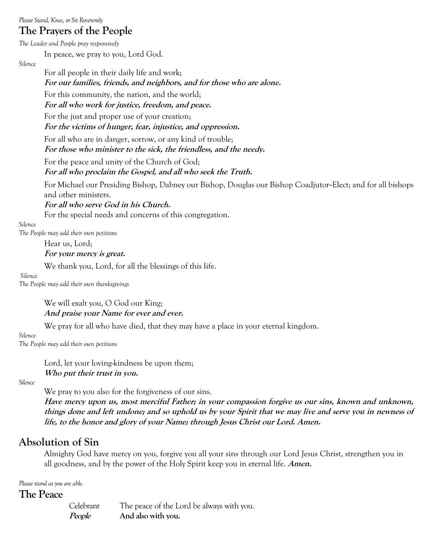*Please Stand, Knee,or Sit Reverently*

# **The Prayers of the People**

*The Leader and People pray responsively*

In peace, we pray to you, Lord God.

*Silence*

For all people in their daily life and work;

**For our families, friends, and neighbors, and for those who are alone.**

For this community, the nation, and the world;

**For all who work for justice, freedom, and peace.**

For the just and proper use of your creation;

**For the victims of hunger, fear, injustice, and oppression.**

For all who are in danger, sorrow, or any kind of trouble; **For those who minister to the sick, the friendless, and the needy.**

For the peace and unity of the Church of God; **For all who proclaim the Gospel, and all who seek the Truth.**

For Michael our Presiding Bishop, Dabney our Bishop, Douglas our Bishop Coadjutor-Elect; and for all bishops and other ministers.

**For all who serve God in his Church.**

For the special needs and concerns of this congregation.

*Silence*

*The People may add their own petitions*

Hear us, Lord;

### **For your mercy is great.**

We thank you, Lord, for all the blessings of this life.

*Silence*

*The People may add their own thanksgivings*

We will exalt you, O God our King; **And praise your Name for ever and ever.**

We pray for all who have died, that they may have a place in your eternal kingdom.

*Silence*

*The People may add their own petitions*

Lord, let your loving-kindness be upon them; **Who put their trust in you.**

*Silence*

We pray to you also for the forgiveness of our sins. **Have mercy upon us, most merciful Father; in your compassion forgive us our sins, known and unknown, things done and left undone; and so uphold us by your Spirit that we may live and serve you in newness of life, to the honor and glory of your Name; through Jesus Christ our Lord. Amen.**

# **Absolution of Sin**

Almighty God have mercy on you, forgive you all your sins through our Lord Jesus Christ, strengthen you in all goodness, and by the power of the Holy Spirit keep you in eternal life. **Amen.**

*Please stand as you are able.*

**The Peace**

Celebrant The peace of the Lord be always with you. **People And also with you.**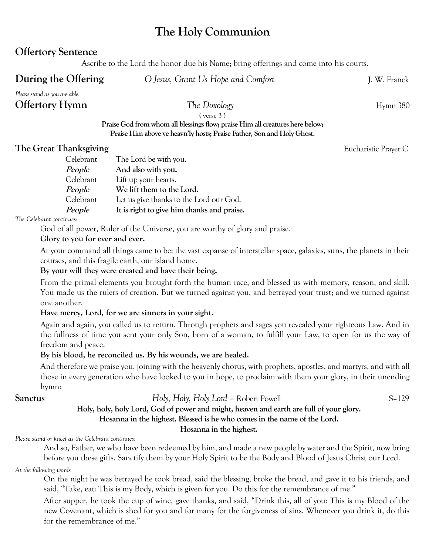# **The Holy Communion**

# **Offertory Sentence**

Ascribe to the Lord the honor due his Name; bring offerings and come into his courts.

**During the Offering**  $O$  *Jesus, Grant Us Hope and Comfort J. W. Franck* 

*Please stand as you are able.*

# **Offertory Hymn** 380

( verse 3 )

**Praise God from whom all blessings flow; praise Him all creatures here below; Praise Him above ye heavn'ly hosts; Praise Father, Son and Holy Ghost.**

## **The Great Thanksgiving** Eucharistic Prayer C

| Celebrant     | The Lord be with you.                      |
|---------------|--------------------------------------------|
| People        | And also with you.                         |
| Celebrant     | Lift up your hearts.                       |
| <i>People</i> | We lift them to the Lord.                  |
| Celebrant     | Let us give thanks to the Lord our God.    |
| <i>People</i> | It is right to give him thanks and praise. |

*The Celebrant continues*:

God of all power, Ruler of the Universe, you are worthy of glory and praise.

### **Glory to you for ever and ever.**

At your command all things came to be: the vast expanse of interstellar space, galaxies, suns, the planets in their courses, and this fragile earth, our island home.

### **By your will they were created and have their being.**

From the primal elements you brought forth the human race, and blessed us with memory, reason, and skill. You made us the rulers of creation. But we turned against you, and betrayed your trust; and we turned against one another.

### **Have mercy, Lord, for we are sinners in your sight.**

Again and again, you called us to return. Through prophets and sages you revealed your righteous Law. And in the fullness of time you sent your only Son, born of a woman, to fulfill your Law, to open for us the way of freedom and peace.

### **By his blood, he reconciled us. By his wounds, we are healed.**

And therefore we praise you, joining with the heavenly chorus, with prophets, apostles, and martyrs, and with all those in every generation who have looked to you in hope, to proclaim with them your glory, in their unending hymn:

## **Sanctus** *Holy, Holy, Holy Lord* – Robert Powell S–129

### **Holy, holy, holy Lord, God of power and might, heaven and earth are full of your glory. Hosanna in the highest. Blessed is he who comes in the name of the Lord.**

#### **Hosanna in the highest.**

*Please stand or kneel as the Celebrant continues:*

And so, Father, we who have been redeemed by him, and made a new people by water and the Spirit, now bring before you these gifts. Sanctify them by your Holy Spirit to be the Body and Blood of Jesus Christ our Lord.

#### *At the following words*

On the night he was betrayed he took bread, said the blessing, broke the bread, and gave it to his friends, and said, "Take, eat: This is my Body, which is given for you. Do this for the remembrance of me."

After supper, he took the cup of wine, gave thanks, and said, "Drink this, all of you: This is my Blood of the new Covenant, which is shed for you and for many for the forgiveness of sins. Whenever you drink it, do this for the remembrance of me."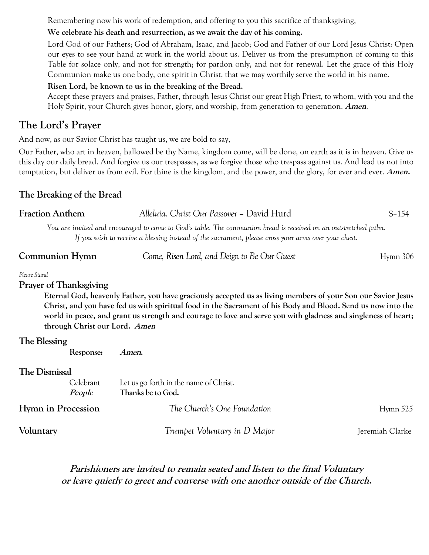Remembering now his work of redemption, and offering to you this sacrifice of thanksgiving,

## **We celebrate his death and resurrection, as we await the day of his coming.**

Lord God of our Fathers; God of Abraham, Isaac, and Jacob; God and Father of our Lord Jesus Christ: Open our eyes to see your hand at work in the world about us. Deliver us from the presumption of coming to this Table for solace only, and not for strength; for pardon only, and not for renewal. Let the grace of this Holy Communion make us one body, one spirit in Christ, that we may worthily serve the world in his name.

### **Risen Lord, be known to us in the breaking of the Bread.**

Accept these prayers and praises, Father, through Jesus Christ our great High Priest, to whom, with you and the Holy Spirit, your Church gives honor, glory, and worship, from generation to generation. **Amen**.

# **The Lord's Prayer**

And now, as our Savior Christ has taught us, we are bold to say,

Our Father, who art in heaven, hallowed be thy Name, kingdom come, will be done, on earth as it is in heaven. Give us this day our daily bread. And forgive us our trespasses, as we forgive those who trespass against us. And lead us not into temptation, but deliver us from evil. For thine is the kingdom, and the power, and the glory, for ever and ever. **Amen.**

# **The Breaking of the Bread**

| <b>Fraction Anthem</b>                                                                                                                                                                                                                                                                                                                                                                                                           | Alleluia. Christ Our Passover - David Hurd                                                                                                                                                                             | $S-154$  |
|----------------------------------------------------------------------------------------------------------------------------------------------------------------------------------------------------------------------------------------------------------------------------------------------------------------------------------------------------------------------------------------------------------------------------------|------------------------------------------------------------------------------------------------------------------------------------------------------------------------------------------------------------------------|----------|
|                                                                                                                                                                                                                                                                                                                                                                                                                                  | You are invited and encouraged to come to God's table. The communion bread is received on an outstretched palm.<br>If you wish to receive a blessing instead of the sacrament, please cross your arms over your chest. |          |
| Communion Hymn                                                                                                                                                                                                                                                                                                                                                                                                                   | Come, Risen Lord, and Deign to Be Our Guest                                                                                                                                                                            | Hymn 306 |
| Please Stand<br><b>Prayer of Thanksgiving</b><br>Eternal God, heavenly Father, you have graciously accepted us as living members of your Son our Savior Jesus<br>Christ, and you have fed us with spiritual food in the Sacrament of his Body and Blood. Send us now into the<br>world in peace, and grant us strength and courage to love and serve you with gladness and singleness of heart;<br>through Christ our Lord. Amen |                                                                                                                                                                                                                        |          |
| The Blessing                                                                                                                                                                                                                                                                                                                                                                                                                     |                                                                                                                                                                                                                        |          |

**Response: Amen.**

## **The Dismissal**

| Celebrant<br>People       | Let us go forth in the name of Christ.<br>Thanks be to God. |                 |
|---------------------------|-------------------------------------------------------------|-----------------|
| <b>Hymn in Procession</b> | The Church's One Foundation                                 | Hymn $525$      |
| Voluntary                 | Trumpet Voluntary in D Major                                | Jeremiah Clarke |

# **Parishioners are invited to remain seated and listen to the final Voluntary or leave quietly to greet and converse with one another outside of the Church.**